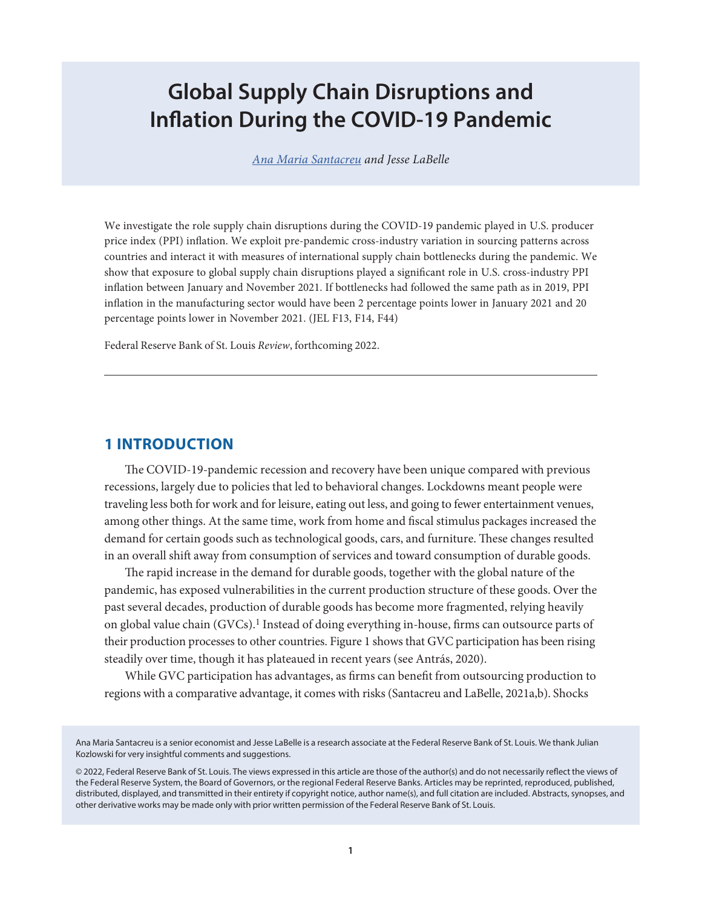# **Global Supply Chain Disruptions and Inflation During the COVID-19 Pandemic**

*[Ana Maria Santacreu](https://research.stlouisfed.org/econ/santacreu/sel/) and Jesse LaBelle*

We investigate the role supply chain disruptions during the COVID-19 pandemic played in U.S. producer price index (PPI) inflation. We exploit pre-pandemic cross-industry variation in sourcing patterns across countries and interact it with measures of international supply chain bottlenecks during the pandemic. We show that exposure to global supply chain disruptions played a significant role in U.S. cross-industry PPI inflation between January and November 2021. If bottlenecks had followed the same path as in 2019, PPI inflation in the manufacturing sector would have been 2 percentage points lower in January 2021 and 20 percentage points lower in November 2021. (JEL F13, F14, F44)

Federal Reserve Bank of St. Louis *Review*, forthcoming 2022.

# **1 INTRODUCTION**

The COVID-19-pandemic recession and recovery have been unique compared with previous recessions, largely due to policies that led to behavioral changes. Lockdowns meant people were traveling less both for work and for leisure, eating out less, and going to fewer entertainment venues, among other things. At the same time, work from home and fiscal stimulus packages increased the demand for certain goods such as technological goods, cars, and furniture. These changes resulted in an overall shift away from consumption of services and toward consumption of durable goods.

The rapid increase in the demand for durable goods, together with the global nature of the pandemic, has exposed vulnerabilities in the current production structure of these goods. Over the past several decades, production of durable goods has become more fragmented, relying heavily on global value chain (GVCs).1 Instead of doing everything in-house, firms can outsource parts of their production processes to other countries. Figure 1 shows that GVC participation has been rising steadily over time, though it has plateaued in recent years (see Antrás, 2020).

While GVC participation has advantages, as firms can benefit from outsourcing production to regions with a comparative advantage, it comes with risks (Santacreu and LaBelle, 2021a,b). Shocks

Ana Maria Santacreu is a senior economist and Jesse LaBelle is a research associate at the Federal Reserve Bank of St. Louis. We thank Julian Kozlowski for very insightful comments and suggestions.

© 2022, Federal Reserve Bank of St. Louis. The views expressed in this article are those of the author(s) and do not necessarily reflect the views of the Federal Reserve System, the Board of Governors, or the regional Federal Reserve Banks. Articles may be reprinted, reproduced, published, distributed, displayed, and transmitted in their entirety if copyright notice, author name(s), and full citation are included. Abstracts, synopses, and other derivative works may be made only with prior written permission of the Federal Reserve Bank of St. Louis.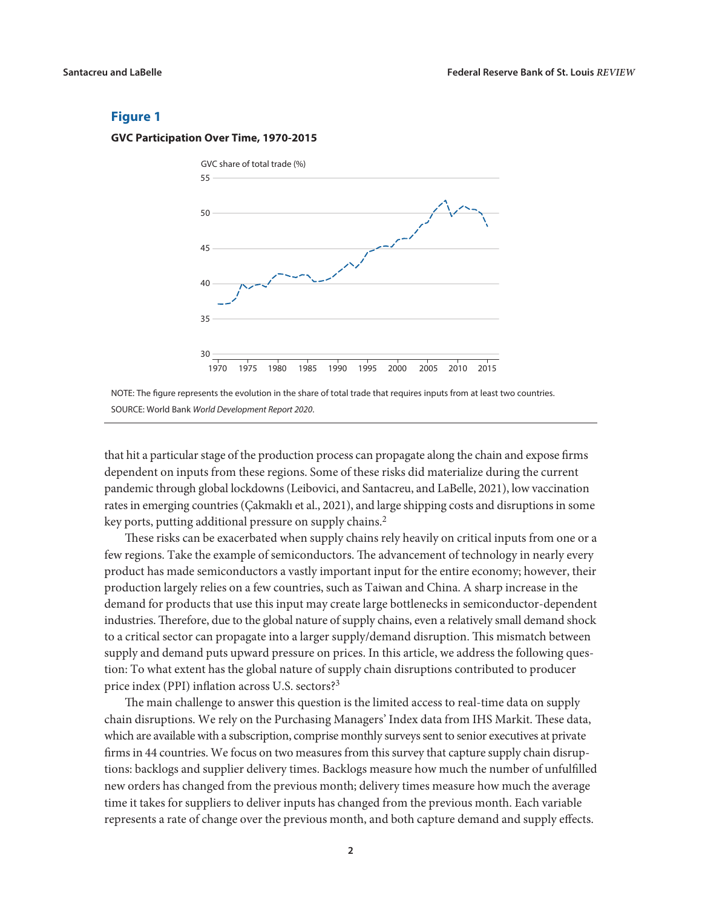**GVC Participation Over Time, 1970-2015**





that hit a particular stage of the production process can propagate along the chain and expose firms dependent on inputs from these regions. Some of these risks did materialize during the current pandemic through global lockdowns (Leibovici, and Santacreu, and LaBelle, 2021), low vaccination rates in emerging countries (Çakmaklı et al., 2021), and large shipping costs and disruptions in some key ports, putting additional pressure on supply chains.2

These risks can be exacerbated when supply chains rely heavily on critical inputs from one or a few regions. Take the example of semiconductors. The advancement of technology in nearly every product has made semiconductors a vastly important input for the entire economy; however, their production largely relies on a few countries, such as Taiwan and China. A sharp increase in the demand for products that use this input may create large bottlenecks in semiconductor-dependent industries. Therefore, due to the global nature of supply chains, even a relatively small demand shock to a critical sector can propagate into a larger supply/demand disruption. This mismatch between supply and demand puts upward pressure on prices. In this article, we address the following question: To what extent has the global nature of supply chain disruptions contributed to producer price index (PPI) inflation across U.S. sectors?3

The main challenge to answer this question is the limited access to real-time data on supply chain disruptions. We rely on the Purchasing Managers' Index data from IHS Markit. These data, which are available with a subscription, comprise monthly surveys sent to senior executives at private firms in 44 countries. We focus on two measures from this survey that capture supply chain disruptions: backlogs and supplier delivery times. Backlogs measure how much the number of unfulfilled new orders has changed from the previous month; delivery times measure how much the average time it takes for suppliers to deliver inputs has changed from the previous month. Each variable represents a rate of change over the previous month, and both capture demand and supply effects.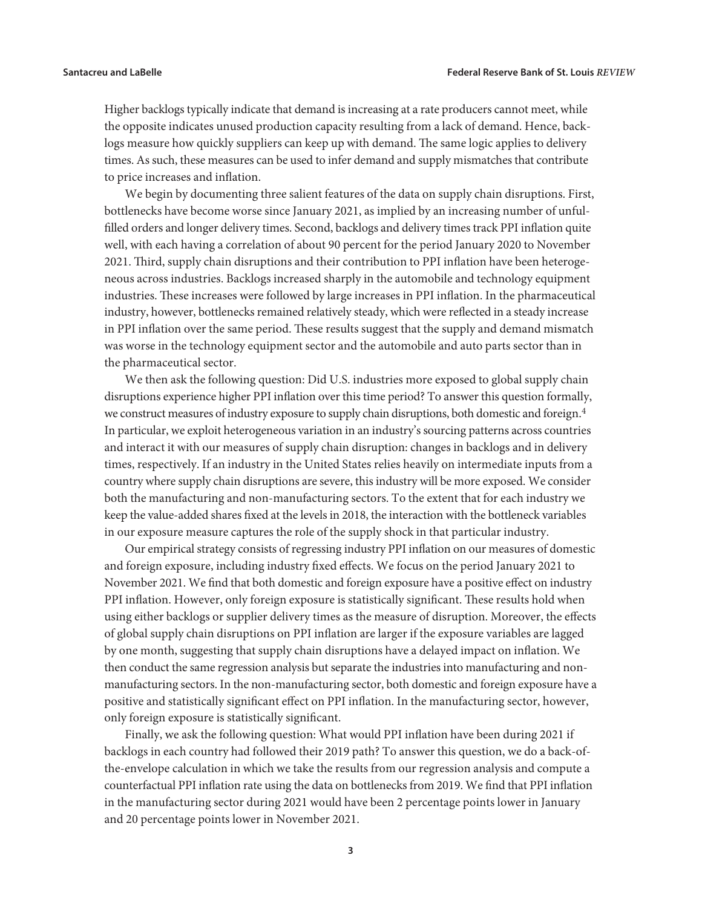Higher backlogs typically indicate that demand is increasing at a rate producers cannot meet, while the opposite indicates unused production capacity resulting from a lack of demand. Hence, backlogs measure how quickly suppliers can keep up with demand. The same logic applies to delivery times. As such, these measures can be used to infer demand and supply mismatches that contribute to price increases and inflation.

We begin by documenting three salient features of the data on supply chain disruptions. First, bottlenecks have become worse since January 2021, as implied by an increasing number of unfulfilled orders and longer delivery times. Second, backlogs and delivery times track PPI inflation quite well, with each having a correlation of about 90 percent for the period January 2020 to November 2021. Third, supply chain disruptions and their contribution to PPI inflation have been heterogeneous across industries. Backlogs increased sharply in the automobile and technology equipment industries. These increases were followed by large increases in PPI inflation. In the pharmaceutical industry, however, bottlenecks remained relatively steady, which were reflected in a steady increase in PPI inflation over the same period. These results suggest that the supply and demand mismatch was worse in the technology equipment sector and the automobile and auto parts sector than in the pharmaceutical sector.

We then ask the following question: Did U.S. industries more exposed to global supply chain disruptions experience higher PPI inflation over this time period? To answer this question formally, we construct measures of industry exposure to supply chain disruptions, both domestic and foreign.<sup>4</sup> In particular, we exploit heterogeneous variation in an industry's sourcing patterns across countries and interact it with our measures of supply chain disruption: changes in backlogs and in delivery times, respectively. If an industry in the United States relies heavily on intermediate inputs from a country where supply chain disruptions are severe, this industry will be more exposed. We consider both the manufacturing and non-manufacturing sectors. To the extent that for each industry we keep the value-added shares fixed at the levels in 2018, the interaction with the bottleneck variables in our exposure measure captures the role of the supply shock in that particular industry.

Our empirical strategy consists of regressing industry PPI inflation on our measures of domestic and foreign exposure, including industry fixed effects. We focus on the period January 2021 to November 2021. We find that both domestic and foreign exposure have a positive effect on industry PPI inflation. However, only foreign exposure is statistically significant. These results hold when using either backlogs or supplier delivery times as the measure of disruption. Moreover, the effects of global supply chain disruptions on PPI inflation are larger if the exposure variables are lagged by one month, suggesting that supply chain disruptions have a delayed impact on inflation. We then conduct the same regression analysis but separate the industries into manufacturing and nonmanufacturing sectors. In the non-manufacturing sector, both domestic and foreign exposure have a positive and statistically significant effect on PPI inflation. In the manufacturing sector, however, only foreign exposure is statistically significant.

Finally, we ask the following question: What would PPI inflation have been during 2021 if backlogs in each country had followed their 2019 path? To answer this question, we do a back-ofthe-envelope calculation in which we take the results from our regression analysis and compute a counterfactual PPI inflation rate using the data on bottlenecks from 2019. We find that PPI inflation in the manufacturing sector during 2021 would have been 2 percentage points lower in January and 20 percentage points lower in November 2021.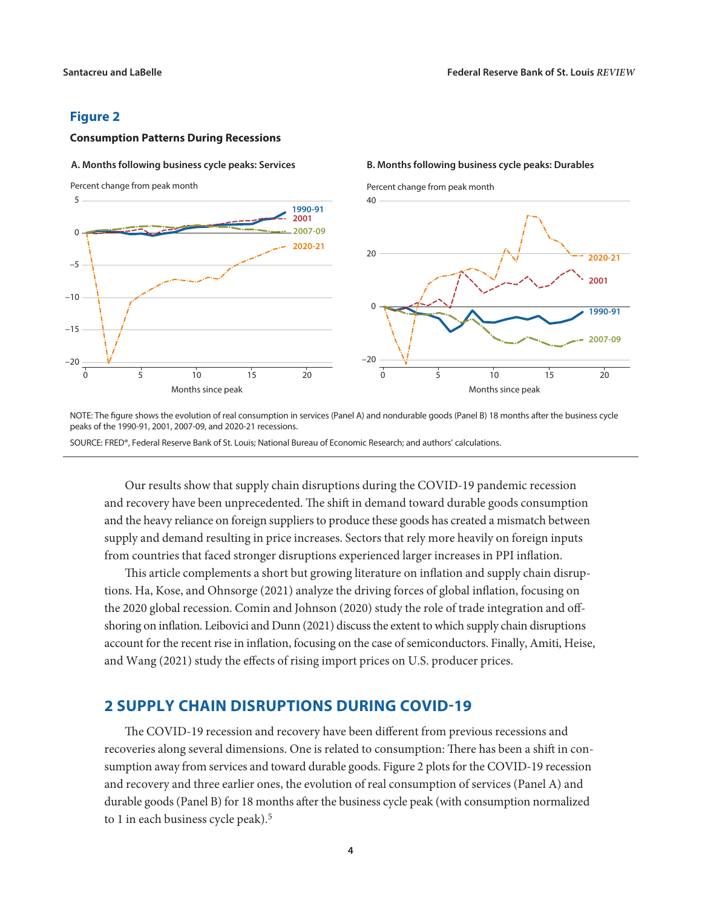**B. Months following business cycle peaks: Durables**

#### **Figure 2**

#### **Consumption Patterns During Recessions**

#### **A. Months following business cycle peaks: Services**



NOTE: The figure shows the evolution of real consumption in services (Panel A) and nondurable goods (Panel B) 18 months after the business cycle peaks of the 1990-91, 2001, 2007-09, and 2020-21 recessions.

SOURCE: FRED®, Federal Reserve Bank of St. Louis; National Bureau of Economic Research; and authors' calculations.

Our results show that supply chain disruptions during the COVID-19 pandemic recession and recovery have been unprecedented. The shift in demand toward durable goods consumption and the heavy reliance on foreign suppliers to produce these goods has created a mismatch between supply and demand resulting in price increases. Sectors that rely more heavily on foreign inputs from countries that faced stronger disruptions experienced larger increases in PPI inflation.

This article complements a short but growing literature on inflation and supply chain disruptions. Ha, Kose, and Ohnsorge (2021) analyze the driving forces of global inflation, focusing on the 2020 global recession. Comin and Johnson (2020) study the role of trade integration and offshoring on inflation. Leibovici and Dunn (2021) discuss the extent to which supply chain disruptions account for the recent rise in inflation, focusing on the case of semiconductors. Finally, Amiti, Heise, and Wang (2021) study the effects of rising import prices on U.S. producer prices.

# **2 SUPPLY CHAIN DISRUPTIONS DURING COVID-19**

The COVID-19 recession and recovery have been different from previous recessions and recoveries along several dimensions. One is related to consumption: There has been a shift in consumption away from services and toward durable goods. Figure 2 plots for the COVID-19 recession and recovery and three earlier ones, the evolution of real consumption of services (Panel A) and durable goods (Panel B) for 18 months after the business cycle peak (with consumption normalized to 1 in each business cycle peak).5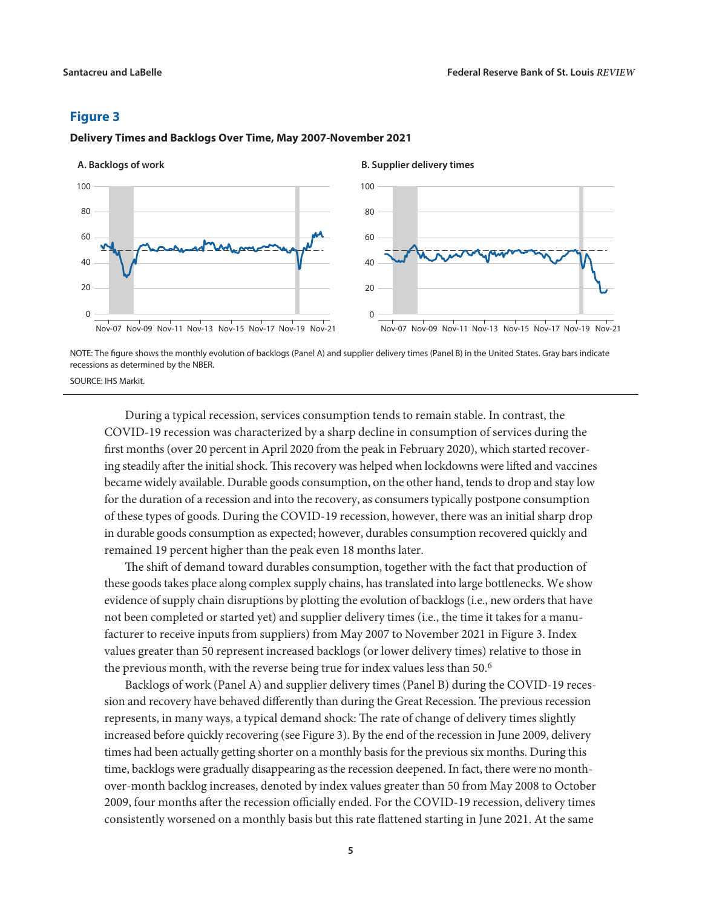

**Delivery Times and Backlogs Over Time, May 2007-November 2021**

NOTE: The figure shows the monthly evolution of backlogs (Panel A) and supplier delivery times (Panel B) in the United States. Gray bars indicate recessions as determined by the NBER.

SOURCE: IHS Markit.

During a typical recession, services consumption tends to remain stable. In contrast, the COVID-19 recession was characterized by a sharp decline in consumption of services during the first months (over 20 percent in April 2020 from the peak in February 2020), which started recovering steadily after the initial shock. This recovery was helped when lockdowns were lifted and vaccines became widely available. Durable goods consumption, on the other hand, tends to drop and stay low for the duration of a recession and into the recovery, as consumers typically postpone consumption of these types of goods. During the COVID-19 recession, however, there was an initial sharp drop in durable goods consumption as expected; however, durables consumption recovered quickly and remained 19 percent higher than the peak even 18 months later.

The shift of demand toward durables consumption, together with the fact that production of these goods takes place along complex supply chains, has translated into large bottlenecks. We show evidence of supply chain disruptions by plotting the evolution of backlogs (i.e., new orders that have not been completed or started yet) and supplier delivery times (i.e., the time it takes for a manufacturer to receive inputs from suppliers) from May 2007 to November 2021 in Figure 3. Index values greater than 50 represent increased backlogs (or lower delivery times) relative to those in the previous month, with the reverse being true for index values less than 50.<sup>6</sup>

Backlogs of work (Panel A) and supplier delivery times (Panel B) during the COVID-19 recession and recovery have behaved differently than during the Great Recession. The previous recession represents, in many ways, a typical demand shock: The rate of change of delivery times slightly increased before quickly recovering (see Figure 3). By the end of the recession in June 2009, delivery times had been actually getting shorter on a monthly basis for the previous six months. During this time, backlogs were gradually disappearing as the recession deepened. In fact, there were no monthover-month backlog increases, denoted by index values greater than 50 from May 2008 to October 2009, four months after the recession officially ended. For the COVID-19 recession, delivery times consistently worsened on a monthly basis but this rate flattened starting in June 2021. At the same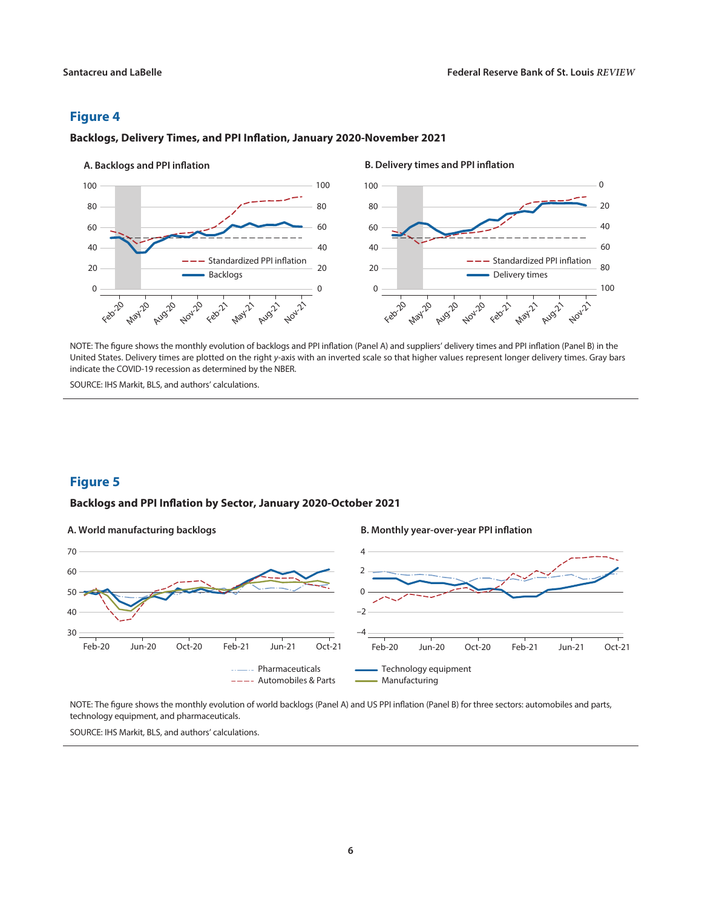#### 0 20 40 60 80 100  $\Omega$  $20$ 40 60 80 100 - Standardized PPI inflation Backlogs A. Backlogs and PPI inflation **B. Delivery times and PPI inflation** 0 20 40 60 80 100 100  $80$ 60 40 20 0 Feb<sup>-20</sup> May-20 Aug-20 **Nov-20** Feb<sup>22</sup> **May** Aug-21 **Nov** Feb-20 **May-20** Aug-20 **Nov-20** Feb<sup>22</sup> **May-21** Aug-21 **Nov** -- Standardized PPI inflation Delivery times

#### **Backlogs, Delivery Times, and PPI Inflation, January 2020-November 2021**

NOTE: The figure shows the monthly evolution of backlogs and PPI inflation (Panel A) and suppliers' delivery times and PPI inflation (Panel B) in the United States. Delivery times are plotted on the right *y*-axis with an inverted scale so that higher values represent longer delivery times. Gray bars indicate the COVID-19 recession as determined by the NBER.

SOURCE: IHS Markit, BLS, and authors' calculations.

# **Figure 5**

#### **Backlogs and PPI Inflation by Sector, January 2020-October 2021**



NOTE: The figure shows the monthly evolution of world backlogs (Panel A) and US PPI inflation (Panel B) for three sectors: automobiles and parts, technology equipment, and pharmaceuticals.

SOURCE: IHS Markit, BLS, and authors' calculations.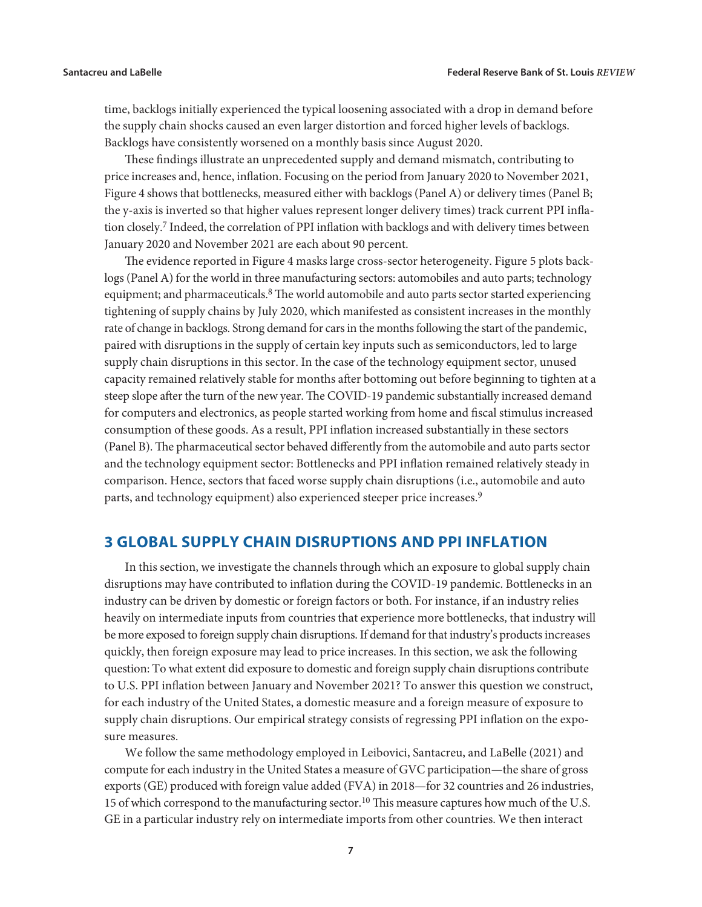time, backlogs initially experienced the typical loosening associated with a drop in demand before the supply chain shocks caused an even larger distortion and forced higher levels of backlogs. Backlogs have consistently worsened on a monthly basis since August 2020.

These findings illustrate an unprecedented supply and demand mismatch, contributing to price increases and, hence, inflation. Focusing on the period from January 2020 to November 2021, Figure 4 shows that bottlenecks, measured either with backlogs (Panel A) or delivery times (Panel B; the y-axis is inverted so that higher values represent longer delivery times) track current PPI inflation closely.7 Indeed, the correlation of PPI inflation with backlogs and with delivery times between January 2020 and November 2021 are each about 90 percent.

The evidence reported in Figure 4 masks large cross-sector heterogeneity. Figure 5 plots backlogs (Panel A) for the world in three manufacturing sectors: automobiles and auto parts; technology equipment; and pharmaceuticals.<sup>8</sup> The world automobile and auto parts sector started experiencing tightening of supply chains by July 2020, which manifested as consistent increases in the monthly rate of change in backlogs. Strong demand for cars in the months following the start of the pandemic, paired with disruptions in the supply of certain key inputs such as semiconductors, led to large supply chain disruptions in this sector. In the case of the technology equipment sector, unused capacity remained relatively stable for months after bottoming out before beginning to tighten at a steep slope after the turn of the new year. The COVID-19 pandemic substantially increased demand for computers and electronics, as people started working from home and fiscal stimulus increased consumption of these goods. As a result, PPI inflation increased substantially in these sectors (Panel B). The pharmaceutical sector behaved differently from the automobile and auto parts sector and the technology equipment sector: Bottlenecks and PPI inflation remained relatively steady in comparison. Hence, sectors that faced worse supply chain disruptions (i.e., automobile and auto parts, and technology equipment) also experienced steeper price increases.<sup>9</sup>

# **3 GLOBAL SUPPLY CHAIN DISRUPTIONS AND PPI INFLATION**

In this section, we investigate the channels through which an exposure to global supply chain disruptions may have contributed to inflation during the COVID-19 pandemic. Bottlenecks in an industry can be driven by domestic or foreign factors or both. For instance, if an industry relies heavily on intermediate inputs from countries that experience more bottlenecks, that industry will be more exposed to foreign supply chain disruptions. If demand for that industry's products increases quickly, then foreign exposure may lead to price increases. In this section, we ask the following question: To what extent did exposure to domestic and foreign supply chain disruptions contribute to U.S. PPI inflation between January and November 2021? To answer this question we construct, for each industry of the United States, a domestic measure and a foreign measure of exposure to supply chain disruptions. Our empirical strategy consists of regressing PPI inflation on the exposure measures.

We follow the same methodology employed in Leibovici, Santacreu, and LaBelle (2021) and compute for each industry in the United States a measure of GVC participation—the share of gross exports (GE) produced with foreign value added (FVA) in 2018—for 32 countries and 26 industries, 15 of which correspond to the manufacturing sector.<sup>10</sup> This measure captures how much of the U.S. GE in a particular industry rely on intermediate imports from other countries. We then interact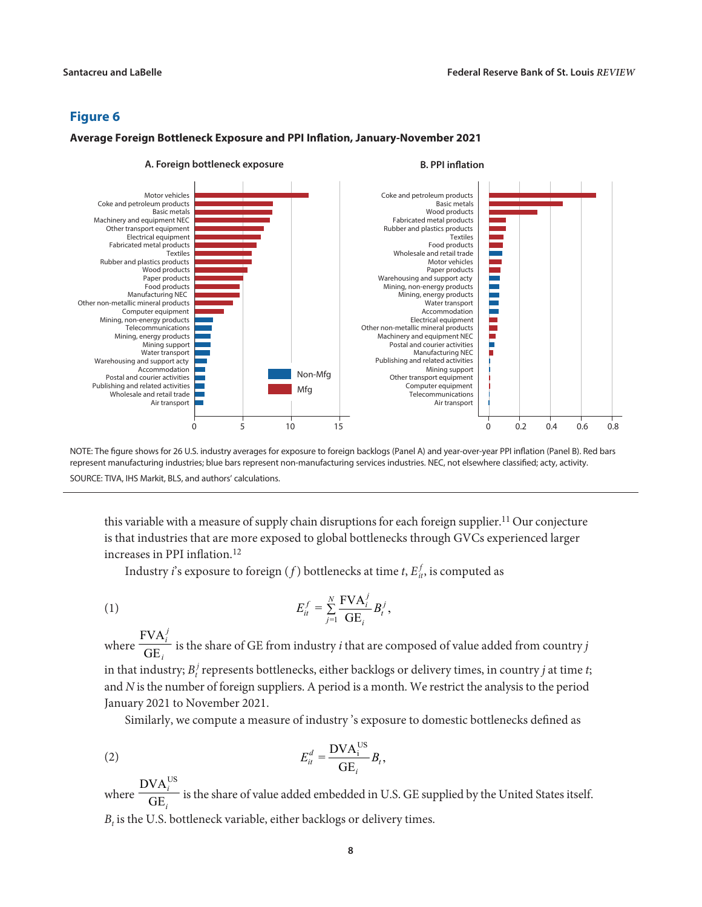#### **Average Foreign Bottleneck Exposure and PPI Inflation, January-November 2021**





this variable with a measure of supply chain disruptions for each foreign supplier.<sup>11</sup> Our conjecture is that industries that are more exposed to global bottlenecks through GVCs experienced larger increases in PPI inflation.<sup>12</sup>

Industry *i*'s exposure to foreign  $(f)$  bottlenecks at time *t*,  $E_{it}^f$ , is computed as

$$
E_{it}^f = \sum_{j=1}^N \frac{\text{FVA}_i^j}{\text{GE}_i} B_t^j,
$$

where FVA GE *j i i* is the share of GE from industry *i* that are composed of value added from country *j* in that industry;  $B_t^j$  represents bottlenecks, either backlogs or delivery times, in country  $j$  at time  $t$ ; and *N* is the number of foreign suppliers. A period is a month. We restrict the analysis to the period January 2021 to November 2021.

Similarly, we compute a measure of industry 's exposure to domestic bottlenecks defined as

$$
E_{it}^d = \frac{\text{DVA}_{i}^{\text{US}}}{\text{GE}_i} B_t,
$$

where  $\text{DVA}^{\text{US}}_i$ GE i i is the share of value added embedded in U.S. GE supplied by the United States itself.  $B_t$  is the U.S. bottleneck variable, either backlogs or delivery times.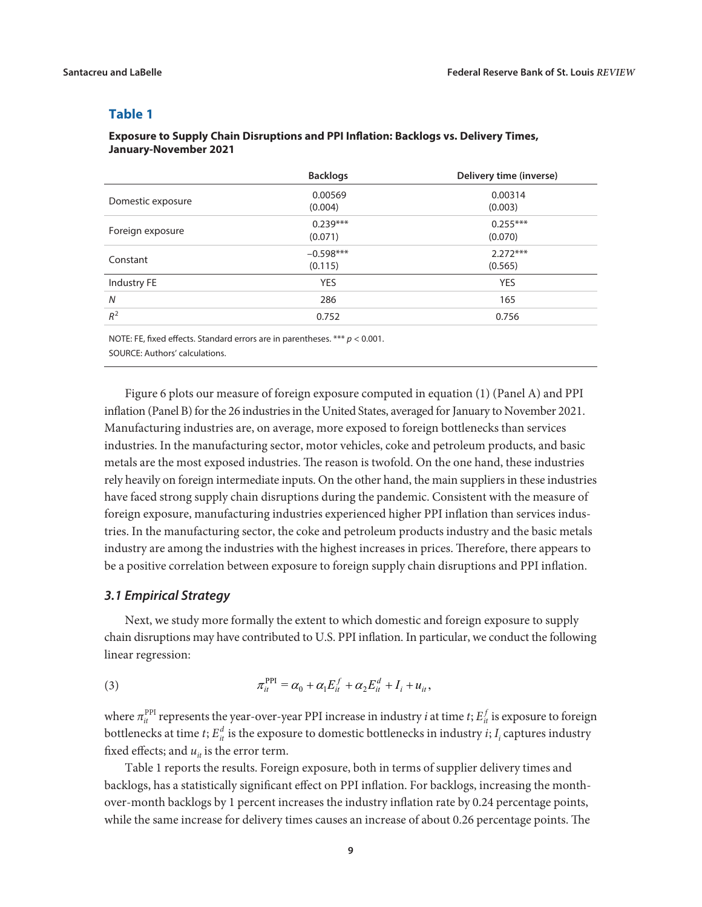#### **Table 1**

### **Exposure to Supply Chain Disruptions and PPI Inflation: Backlogs vs. Delivery Times, January-November 2021**

|                   | <b>Backlogs</b> | Delivery time (inverse) |
|-------------------|-----------------|-------------------------|
| Domestic exposure | 0.00569         | 0.00314                 |
|                   | (0.004)         | (0.003)                 |
| Foreign exposure  | $0.239***$      | $0.255***$              |
|                   | (0.071)         | (0.070)                 |
| Constant          | $-0.598***$     | $2.272***$              |
|                   | (0.115)         | (0.565)                 |
| Industry FE       | <b>YES</b>      | <b>YES</b>              |
| N                 | 286             | 165                     |
| $R^2$             | 0.752           | 0.756                   |
|                   |                 |                         |

NOTE: FE, fixed effects. Standard errors are in parentheses. \*\*\* *p* < 0.001. SOURCE: Authors' calculations.

Figure 6 plots our measure of foreign exposure computed in equation (1) (Panel A) and PPI inflation (Panel B) for the 26 industries in the United States, averaged for January to November 2021. Manufacturing industries are, on average, more exposed to foreign bottlenecks than services industries. In the manufacturing sector, motor vehicles, coke and petroleum products, and basic metals are the most exposed industries. The reason is twofold. On the one hand, these industries rely heavily on foreign intermediate inputs. On the other hand, the main suppliers in these industries have faced strong supply chain disruptions during the pandemic. Consistent with the measure of foreign exposure, manufacturing industries experienced higher PPI inflation than services industries. In the manufacturing sector, the coke and petroleum products industry and the basic metals industry are among the industries with the highest increases in prices. Therefore, there appears to be a positive correlation between exposure to foreign supply chain disruptions and PPI inflation.

#### *3.1 Empirical Strategy*

Next, we study more formally the extent to which domestic and foreign exposure to supply chain disruptions may have contributed to U.S. PPI inflation. In particular, we conduct the following linear regression:

(3) 
$$
\pi_{it}^{\text{PPI}} = \alpha_0 + \alpha_1 E_{it}^f + \alpha_2 E_{it}^d + I_i + u_{it},
$$

where  $\pi_{it}^{PPI}$  represents the year-over-year PPI increase in industry *i* at time *t*;  $E_{it}^f$  is exposure to foreign bottlenecks at time *t*;  $E_{it}^d$  is the exposure to domestic bottlenecks in industry *i*;  $I_i$  captures industry fixed effects; and  $u_{it}$  is the error term.

Table 1 reports the results. Foreign exposure, both in terms of supplier delivery times and backlogs, has a statistically significant effect on PPI inflation. For backlogs, increasing the monthover-month backlogs by 1 percent increases the industry inflation rate by 0.24 percentage points, while the same increase for delivery times causes an increase of about 0.26 percentage points. The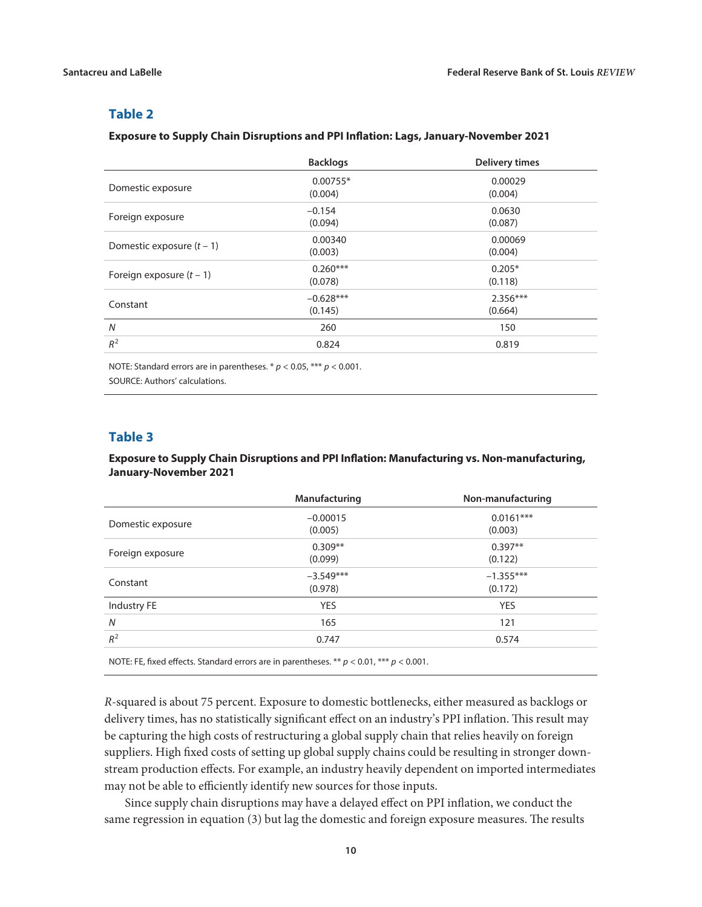### **Table 2**

#### **Exposure to Supply Chain Disruptions and PPI Inflation: Lags, January-November 2021**

|                             | <b>Backlogs</b>        | <b>Delivery times</b> |
|-----------------------------|------------------------|-----------------------|
| Domestic exposure           | $0.00755*$<br>(0.004)  | 0.00029<br>(0.004)    |
| Foreign exposure            | $-0.154$<br>(0.094)    | 0.0630<br>(0.087)     |
| Domestic exposure $(t - 1)$ | 0.00340<br>(0.003)     | 0.00069<br>(0.004)    |
| Foreign exposure $(t - 1)$  | $0.260***$<br>(0.078)  | $0.205*$<br>(0.118)   |
| Constant                    | $-0.628***$<br>(0.145) | $2.356***$<br>(0.664) |
| N                           | 260                    | 150                   |
| $R^2$                       | 0.824                  | 0.819                 |

NOTE: Standard errors are in parentheses. \* *p* < 0.05, \*\*\* *p* < 0.001.

SOURCE: Authors' calculations.

## **Table 3**

#### **Exposure to Supply Chain Disruptions and PPI Inflation: Manufacturing vs. Non-manufacturing, January-November 2021**

|                   | Manufacturing | Non-manufacturing |
|-------------------|---------------|-------------------|
| Domestic exposure | $-0.00015$    | $0.0161***$       |
|                   | (0.005)       | (0.003)           |
| Foreign exposure  | $0.309**$     | $0.397**$         |
|                   | (0.099)       | (0.122)           |
| Constant          | $-3.549***$   | $-1.355***$       |
|                   | (0.978)       | (0.172)           |
| Industry FE       | <b>YES</b>    | <b>YES</b>        |
| N                 | 165           | 121               |
| $R^2$             | 0.747         | 0.574             |
|                   |               |                   |

NOTE: FE, fixed effects. Standard errors are in parentheses. \*\* *p* < 0.01, \*\*\* *p* < 0.001.

*R*-squared is about 75 percent. Exposure to domestic bottlenecks, either measured as backlogs or delivery times, has no statistically significant effect on an industry's PPI inflation. This result may be capturing the high costs of restructuring a global supply chain that relies heavily on foreign suppliers. High fixed costs of setting up global supply chains could be resulting in stronger downstream production effects. For example, an industry heavily dependent on imported intermediates may not be able to efficiently identify new sources for those inputs.

Since supply chain disruptions may have a delayed effect on PPI inflation, we conduct the same regression in equation (3) but lag the domestic and foreign exposure measures. The results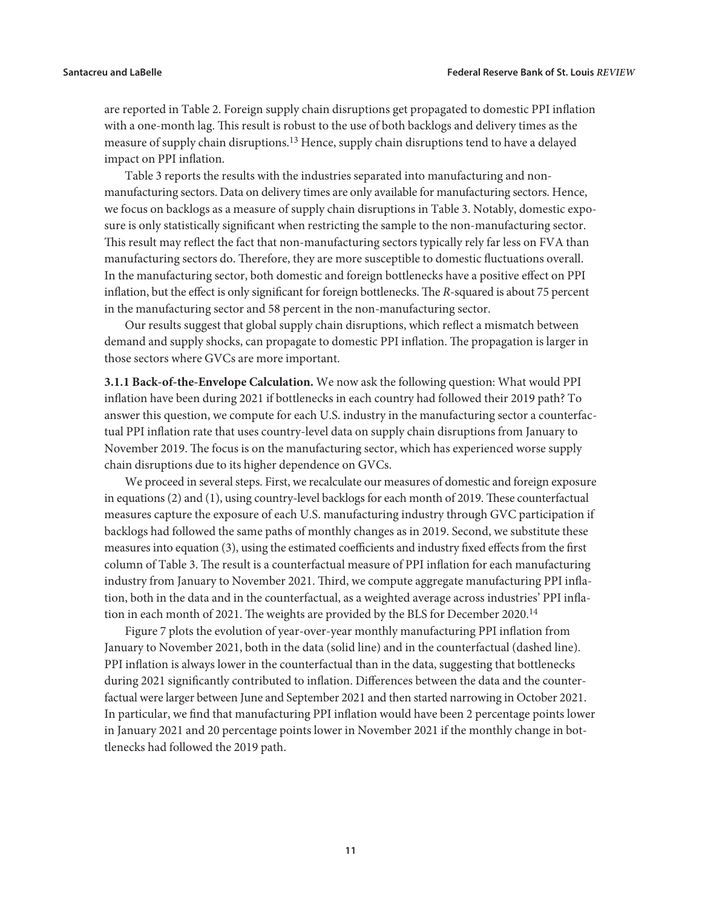are reported in Table 2. Foreign supply chain disruptions get propagated to domestic PPI inflation with a one-month lag. This result is robust to the use of both backlogs and delivery times as the measure of supply chain disruptions.13 Hence, supply chain disruptions tend to have a delayed impact on PPI inflation.

Table 3 reports the results with the industries separated into manufacturing and nonmanufacturing sectors. Data on delivery times are only available for manufacturing sectors. Hence, we focus on backlogs as a measure of supply chain disruptions in Table 3. Notably, domestic exposure is only statistically significant when restricting the sample to the non-manufacturing sector. This result may reflect the fact that non-manufacturing sectors typically rely far less on FVA than manufacturing sectors do. Therefore, they are more susceptible to domestic fluctuations overall. In the manufacturing sector, both domestic and foreign bottlenecks have a positive effect on PPI inflation, but the effect is only significant for foreign bottlenecks. The *R*-squared is about 75 percent in the manufacturing sector and 58 percent in the non-manufacturing sector.

Our results suggest that global supply chain disruptions, which reflect a mismatch between demand and supply shocks, can propagate to domestic PPI inflation. The propagation is larger in those sectors where GVCs are more important.

**3.1.1 Back-of-the-Envelope Calculation.** We now ask the following question: What would PPI inflation have been during 2021 if bottlenecks in each country had followed their 2019 path? To answer this question, we compute for each U.S. industry in the manufacturing sector a counterfactual PPI inflation rate that uses country-level data on supply chain disruptions from January to November 2019. The focus is on the manufacturing sector, which has experienced worse supply chain disruptions due to its higher dependence on GVCs.

We proceed in several steps. First, we recalculate our measures of domestic and foreign exposure in equations (2) and (1), using country-level backlogs for each month of 2019. These counterfactual measures capture the exposure of each U.S. manufacturing industry through GVC participation if backlogs had followed the same paths of monthly changes as in 2019. Second, we substitute these measures into equation (3), using the estimated coefficients and industry fixed effects from the first column of Table 3. The result is a counterfactual measure of PPI inflation for each manufacturing industry from January to November 2021. Third, we compute aggregate manufacturing PPI inflation, both in the data and in the counterfactual, as a weighted average across industries' PPI inflation in each month of 2021. The weights are provided by the BLS for December 2020.<sup>14</sup>

Figure 7 plots the evolution of year-over-year monthly manufacturing PPI inflation from January to November 2021, both in the data (solid line) and in the counterfactual (dashed line). PPI inflation is always lower in the counterfactual than in the data, suggesting that bottlenecks during 2021 significantly contributed to inflation. Differences between the data and the counterfactual were larger between June and September 2021 and then started narrowing in October 2021. In particular, we find that manufacturing PPI inflation would have been 2 percentage points lower in January 2021 and 20 percentage points lower in November 2021 if the monthly change in bottlenecks had followed the 2019 path.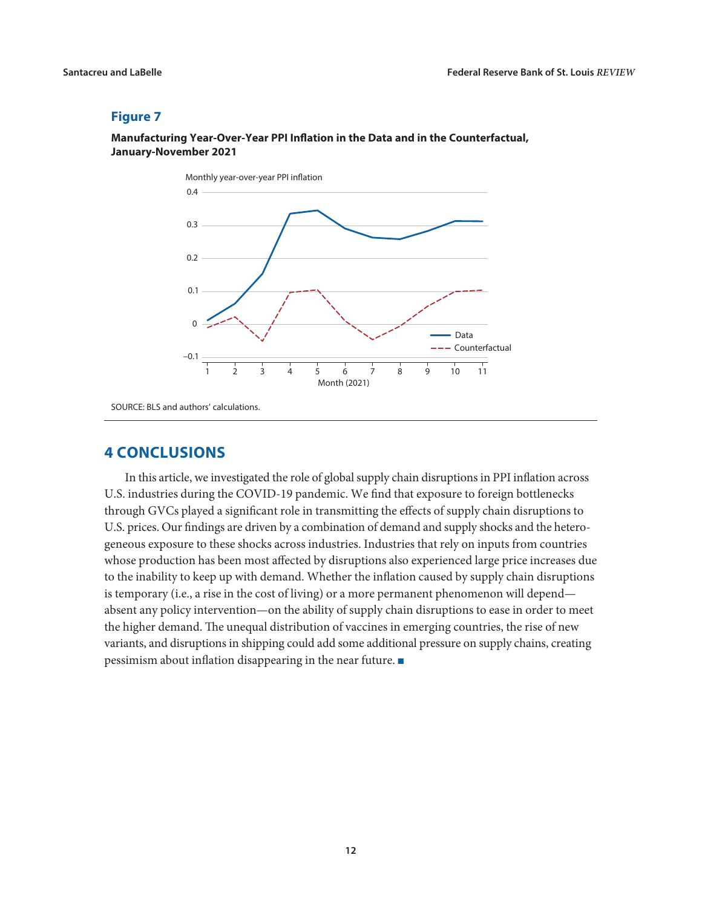# **Manufacturing Year-Over-Year PPI Inflation in the Data and in the Counterfactual, January-November 2021**



SOURCE: BLS and authors' calculations.

# **4 CONCLUSIONS**

In this article, we investigated the role of global supply chain disruptions in PPI inflation across U.S. industries during the COVID-19 pandemic. We find that exposure to foreign bottlenecks through GVCs played a significant role in transmitting the effects of supply chain disruptions to U.S. prices. Our findings are driven by a combination of demand and supply shocks and the heterogeneous exposure to these shocks across industries. Industries that rely on inputs from countries whose production has been most affected by disruptions also experienced large price increases due to the inability to keep up with demand. Whether the inflation caused by supply chain disruptions is temporary (i.e., a rise in the cost of living) or a more permanent phenomenon will depend absent any policy intervention—on the ability of supply chain disruptions to ease in order to meet the higher demand. The unequal distribution of vaccines in emerging countries, the rise of new variants, and disruptions in shipping could add some additional pressure on supply chains, creating pessimism about inflation disappearing in the near future.  $\blacksquare$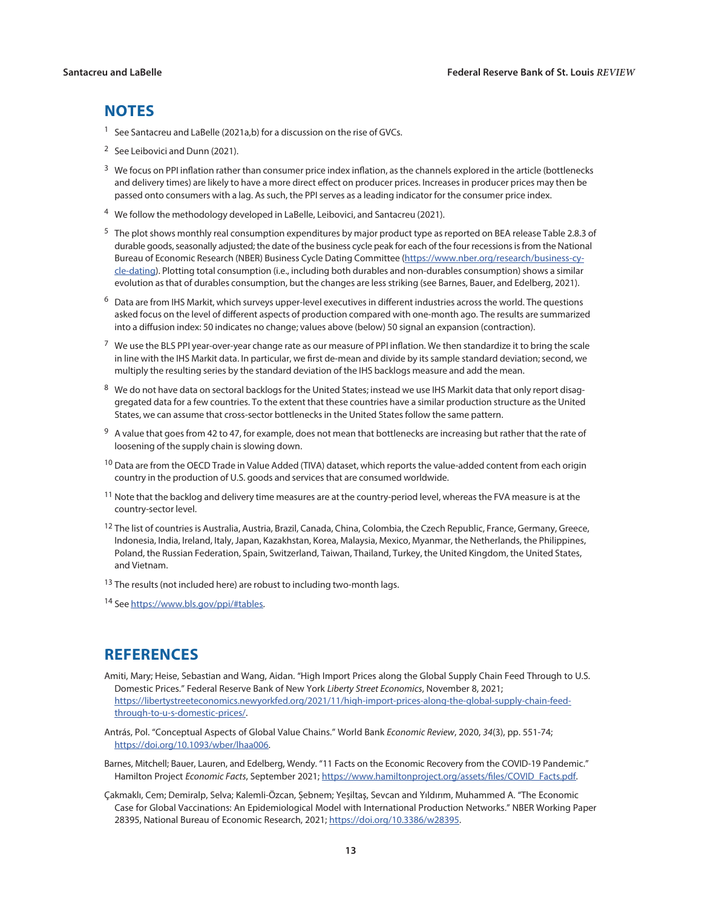# **NOTES**

- <sup>1</sup> See Santacreu and LaBelle (2021a,b) for a discussion on the rise of GVCs.
- <sup>2</sup> See Leibovici and Dunn (2021).
- $3\,$  We focus on PPI inflation rather than consumer price index inflation, as the channels explored in the article (bottlenecks and delivery times) are likely to have a more direct effect on producer prices. Increases in producer prices may then be passed onto consumers with a lag. As such, the PPI serves as a leading indicator for the consumer price index.
- <sup>4</sup> We follow the methodology developed in LaBelle, Leibovici, and Santacreu (2021).
- $5$  The plot shows monthly real consumption expenditures by major product type as reported on BEA release Table 2.8.3 of durable goods, seasonally adjusted; the date of the business cycle peak for each of the four recessions is from the National Bureau of Economic Research (NBER) Business Cycle Dating Committee [\(https://www.nber.org/research/business-cy](https://www.nber.org/research/business-cycle-dating)[cle-dating\)](https://www.nber.org/research/business-cycle-dating). Plotting total consumption (i.e., including both durables and non-durables consumption) shows a similar evolution as that of durables consumption, but the changes are less striking (see Barnes, Bauer, and Edelberg, 2021).
- $6$  Data are from IHS Markit, which surveys upper-level executives in different industries across the world. The questions asked focus on the level of different aspects of production compared with one-month ago. The results are summarized into a diffusion index: 50 indicates no change; values above (below) 50 signal an expansion (contraction).
- <sup>7</sup> We use the BLS PPI year-over-year change rate as our measure of PPI inflation. We then standardize it to bring the scale in line with the IHS Markit data. In particular, we first de-mean and divide by its sample standard deviation; second, we multiply the resulting series by the standard deviation of the IHS backlogs measure and add the mean.
- 8 We do not have data on sectoral backlogs for the United States; instead we use IHS Markit data that only report disaggregated data for a few countries. To the extent that these countries have a similar production structure as the United States, we can assume that cross-sector bottlenecks in the United States follow the same pattern.
- <sup>9</sup> A value that goes from 42 to 47, for example, does not mean that bottlenecks are increasing but rather that the rate of loosening of the supply chain is slowing down.
- $10$  Data are from the OECD Trade in Value Added (TIVA) dataset, which reports the value-added content from each origin country in the production of U.S. goods and services that are consumed worldwide.
- $11$  Note that the backlog and delivery time measures are at the country-period level, whereas the FVA measure is at the country-sector level.
- <sup>12</sup> The list of countries is Australia, Austria, Brazil, Canada, China, Colombia, the Czech Republic, France, Germany, Greece, Indonesia, India, Ireland, Italy, Japan, Kazakhstan, Korea, Malaysia, Mexico, Myanmar, the Netherlands, the Philippines, Poland, the Russian Federation, Spain, Switzerland, Taiwan, Thailand, Turkey, the United Kingdom, the United States, and Vietnam.
- <sup>13</sup> The results (not included here) are robust to including two-month lags.
- <sup>14</sup> See<https://www.bls.gov/ppi/#tables>.

# **REFERENCES**

- Amiti, Mary; Heise, Sebastian and Wang, Aidan. "High Import Prices along the Global Supply Chain Feed Through to U.S. Domestic Prices." Federal Reserve Bank of New York *Liberty Street Economics*, November 8, 2021; [https://libertystreeteconomics.newyorkfed.org/2021/11/high-import-prices-along-the-global-supply-chain-feed](https://libertystreeteconomics.newyorkfed.org/2021/11/high-import-prices-along-the-global-supply-chain-feed-through-to-u-s-domestic-prices/)[through-to-u-s-domestic-prices/](https://libertystreeteconomics.newyorkfed.org/2021/11/high-import-prices-along-the-global-supply-chain-feed-through-to-u-s-domestic-prices/).
- Antrás, Pol. "Conceptual Aspects of Global Value Chains." World Bank *Economic Review*, 2020, *34*(3), pp. 551-74; <https://doi.org/10.1093/wber/lhaa006>.
- Barnes, Mitchell; Bauer, Lauren, and Edelberg, Wendy. "11 Facts on the Economic Recovery from the COVID-19 Pandemic." Hamilton Project *Economic Facts*, September 2021; [https://www.hamiltonproject.org/assets/files/COVID\\_Facts.pdf](https://www.hamiltonproject.org/assets/files/COVID_Facts.pdf).
- Çakmaklı, Cem; Demiralp, Selva; Kalemli-Özcan, Sebnem; Yeşiltaş, Sevcan and Yıldırım, Muhammed A. "The Economic Case for Global Vaccinations: An Epidemiological Model with International Production Networks." NBER Working Paper 28395, National Bureau of Economic Research, 2021; [https://doi.org/10.3386/w28395.](https://doi.org/10.3386/w28395)